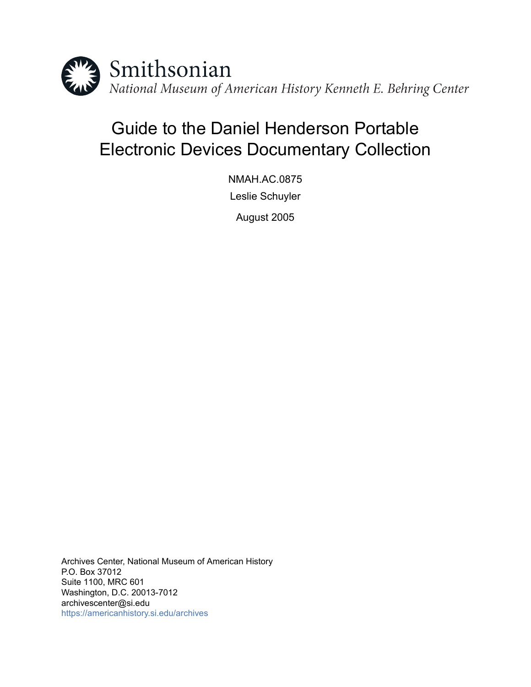

# Guide to the Daniel Henderson Portable Electronic Devices Documentary Collection

NMAH.AC.0875 Leslie Schuyler

August 2005

Archives Center, National Museum of American History P.O. Box 37012 Suite 1100, MRC 601 Washington, D.C. 20013-7012 archivescenter@si.edu <https://americanhistory.si.edu/archives>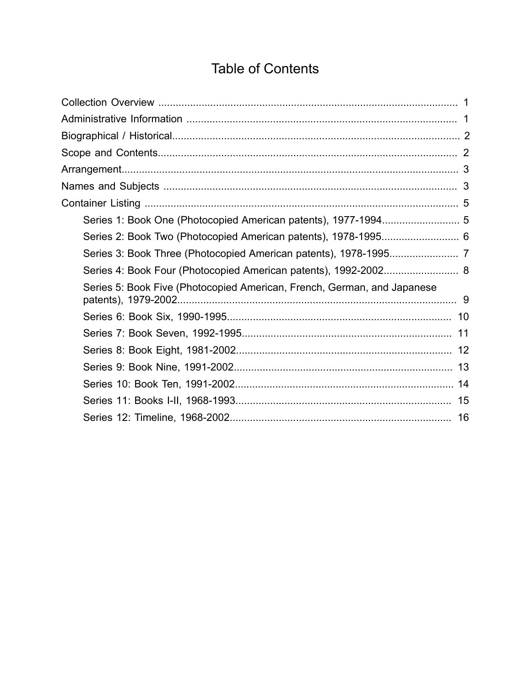# **Table of Contents**

<span id="page-1-0"></span>

| Series 2: Book Two (Photocopied American patents), 1978-1995 6          |  |
|-------------------------------------------------------------------------|--|
|                                                                         |  |
| Series 4: Book Four (Photocopied American patents), 1992-2002 8         |  |
| Series 5: Book Five (Photocopied American, French, German, and Japanese |  |
|                                                                         |  |
|                                                                         |  |
|                                                                         |  |
|                                                                         |  |
|                                                                         |  |
|                                                                         |  |
|                                                                         |  |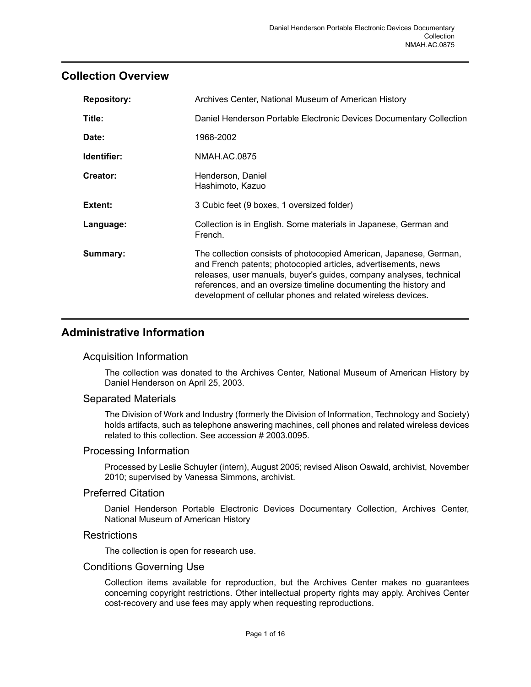### <span id="page-2-0"></span>**Collection Overview**

| <b>Repository:</b> | Archives Center, National Museum of American History                                                                                                                                                                                                                                                                                            |  |  |
|--------------------|-------------------------------------------------------------------------------------------------------------------------------------------------------------------------------------------------------------------------------------------------------------------------------------------------------------------------------------------------|--|--|
| Title:             | Daniel Henderson Portable Electronic Devices Documentary Collection                                                                                                                                                                                                                                                                             |  |  |
| Date:              | 1968-2002                                                                                                                                                                                                                                                                                                                                       |  |  |
| Identifier:        | NMAH.AC.0875                                                                                                                                                                                                                                                                                                                                    |  |  |
| Creator:           | Henderson, Daniel<br>Hashimoto, Kazuo                                                                                                                                                                                                                                                                                                           |  |  |
| Extent:            | 3 Cubic feet (9 boxes, 1 oversized folder)                                                                                                                                                                                                                                                                                                      |  |  |
| Language:          | Collection is in English. Some materials in Japanese, German and<br>French.                                                                                                                                                                                                                                                                     |  |  |
| Summary:           | The collection consists of photocopied American, Japanese, German,<br>and French patents; photocopied articles, advertisements, news<br>releases, user manuals, buyer's guides, company analyses, technical<br>references, and an oversize timeline documenting the history and<br>development of cellular phones and related wireless devices. |  |  |

### <span id="page-2-1"></span>**Administrative Information**

#### Acquisition Information

The collection was donated to the Archives Center, National Museum of American History by Daniel Henderson on April 25, 2003.

#### Separated Materials

The Division of Work and Industry (formerly the Division of Information, Technology and Society) holds artifacts, such as telephone answering machines, cell phones and related wireless devices related to this collection. See accession # 2003.0095.

#### Processing Information

Processed by Leslie Schuyler (intern), August 2005; revised Alison Oswald, archivist, November 2010; supervised by Vanessa Simmons, archivist.

#### Preferred Citation

Daniel Henderson Portable Electronic Devices Documentary Collection, Archives Center, National Museum of American History

#### **Restrictions**

The collection is open for research use.

#### Conditions Governing Use

Collection items available for reproduction, but the Archives Center makes no guarantees concerning copyright restrictions. Other intellectual property rights may apply. Archives Center cost-recovery and use fees may apply when requesting reproductions.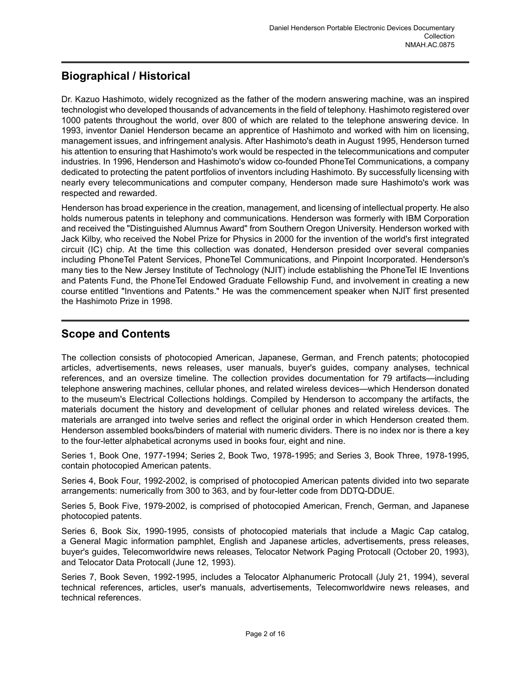### <span id="page-3-0"></span>**Biographical / Historical**

Dr. Kazuo Hashimoto, widely recognized as the father of the modern answering machine, was an inspired technologist who developed thousands of advancements in the field of telephony. Hashimoto registered over 1000 patents throughout the world, over 800 of which are related to the telephone answering device. In 1993, inventor Daniel Henderson became an apprentice of Hashimoto and worked with him on licensing, management issues, and infringement analysis. After Hashimoto's death in August 1995, Henderson turned his attention to ensuring that Hashimoto's work would be respected in the telecommunications and computer industries. In 1996, Henderson and Hashimoto's widow co-founded PhoneTel Communications, a company dedicated to protecting the patent portfolios of inventors including Hashimoto. By successfully licensing with nearly every telecommunications and computer company, Henderson made sure Hashimoto's work was respected and rewarded.

Henderson has broad experience in the creation, management, and licensing of intellectual property. He also holds numerous patents in telephony and communications. Henderson was formerly with IBM Corporation and received the "Distinguished Alumnus Award" from Southern Oregon University. Henderson worked with Jack Kilby, who received the Nobel Prize for Physics in 2000 for the invention of the world's first integrated circuit (IC) chip. At the time this collection was donated, Henderson presided over several companies including PhoneTel Patent Services, PhoneTel Communications, and Pinpoint Incorporated. Henderson's many ties to the New Jersey Institute of Technology (NJIT) include establishing the PhoneTel IE Inventions and Patents Fund, the PhoneTel Endowed Graduate Fellowship Fund, and involvement in creating a new course entitled "Inventions and Patents." He was the commencement speaker when NJIT first presented the Hashimoto Prize in 1998.

### <span id="page-3-1"></span>**Scope and Contents**

The collection consists of photocopied American, Japanese, German, and French patents; photocopied articles, advertisements, news releases, user manuals, buyer's guides, company analyses, technical references, and an oversize timeline. The collection provides documentation for 79 artifacts—including telephone answering machines, cellular phones, and related wireless devices—which Henderson donated to the museum's Electrical Collections holdings. Compiled by Henderson to accompany the artifacts, the materials document the history and development of cellular phones and related wireless devices. The materials are arranged into twelve series and reflect the original order in which Henderson created them. Henderson assembled books/binders of material with numeric dividers. There is no index nor is there a key to the four-letter alphabetical acronyms used in books four, eight and nine.

Series 1, Book One, 1977-1994; Series 2, Book Two, 1978-1995; and Series 3, Book Three, 1978-1995, contain photocopied American patents.

Series 4, Book Four, 1992-2002, is comprised of photocopied American patents divided into two separate arrangements: numerically from 300 to 363, and by four-letter code from DDTQ-DDUE.

Series 5, Book Five, 1979-2002, is comprised of photocopied American, French, German, and Japanese photocopied patents.

Series 6, Book Six, 1990-1995, consists of photocopied materials that include a Magic Cap catalog, a General Magic information pamphlet, English and Japanese articles, advertisements, press releases, buyer's guides, Telecomworldwire news releases, Telocator Network Paging Protocall (October 20, 1993), and Telocator Data Protocall (June 12, 1993).

Series 7, Book Seven, 1992-1995, includes a Telocator Alphanumeric Protocall (July 21, 1994), several technical references, articles, user's manuals, advertisements, Telecomworldwire news releases, and technical references.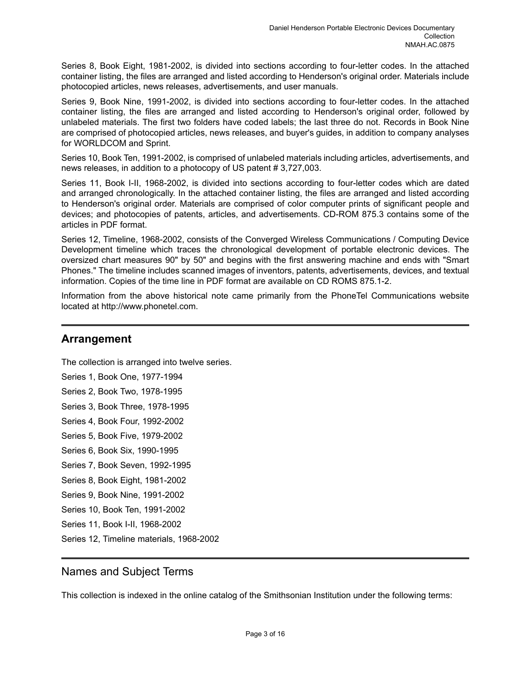Series 8, Book Eight, 1981-2002, is divided into sections according to four-letter codes. In the attached container listing, the files are arranged and listed according to Henderson's original order. Materials include photocopied articles, news releases, advertisements, and user manuals.

Series 9, Book Nine, 1991-2002, is divided into sections according to four-letter codes. In the attached container listing, the files are arranged and listed according to Henderson's original order, followed by unlabeled materials. The first two folders have coded labels; the last three do not. Records in Book Nine are comprised of photocopied articles, news releases, and buyer's guides, in addition to company analyses for WORLDCOM and Sprint.

Series 10, Book Ten, 1991-2002, is comprised of unlabeled materials including articles, advertisements, and news releases, in addition to a photocopy of US patent # 3,727,003.

Series 11, Book I-II, 1968-2002, is divided into sections according to four-letter codes which are dated and arranged chronologically. In the attached container listing, the files are arranged and listed according to Henderson's original order. Materials are comprised of color computer prints of significant people and devices; and photocopies of patents, articles, and advertisements. CD-ROM 875.3 contains some of the articles in PDF format.

Series 12, Timeline, 1968-2002, consists of the Converged Wireless Communications / Computing Device Development timeline which traces the chronological development of portable electronic devices. The oversized chart measures 90" by 50" and begins with the first answering machine and ends with "Smart Phones." The timeline includes scanned images of inventors, patents, advertisements, devices, and textual information. Copies of the time line in PDF format are available on CD ROMS 875.1-2.

Information from the above historical note came primarily from the PhoneTel Communications website located at http://www.phonetel.com.

#### <span id="page-4-0"></span>**Arrangement**

The collection is arranged into twelve series.

Series 1, Book One, 1977-1994 Series 2, Book Two, 1978-1995

Series 3, Book Three, 1978-1995

Series 4, Book Four, 1992-2002

Series 5, Book Five, 1979-2002

Series 6, Book Six, 1990-1995

Series 7, Book Seven, 1992-1995

Series 8, Book Eight, 1981-2002

Series 9, Book Nine, 1991-2002

Series 10, Book Ten, 1991-2002

Series 11, Book I-II, 1968-2002

Series 12, Timeline materials, 1968-2002

#### <span id="page-4-1"></span>Names and Subject Terms

This collection is indexed in the online catalog of the Smithsonian Institution under the following terms: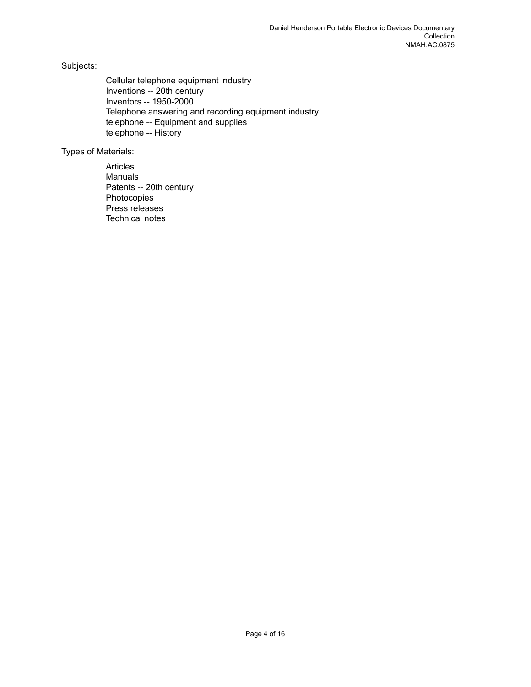Subjects:

Cellular telephone equipment industry Inventions -- 20th century Inventors -- 1950-2000 Telephone answering and recording equipment industry telephone -- Equipment and supplies telephone -- History

Types of Materials:

Articles Manuals Patents -- 20th century Photocopies Press releases Technical notes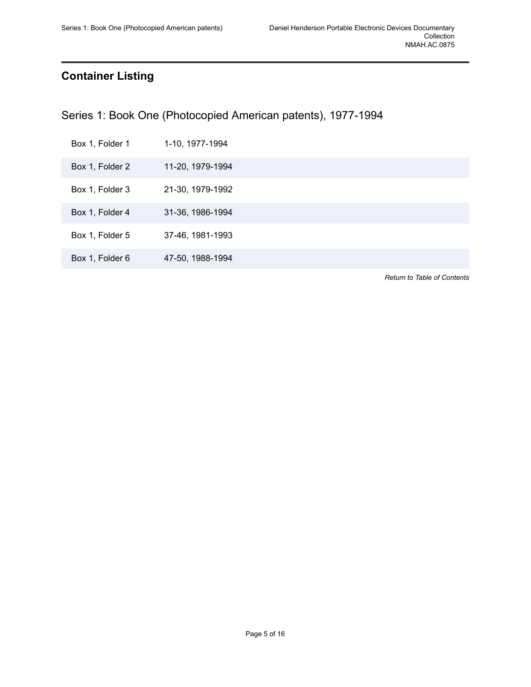### <span id="page-6-0"></span>**Container Listing**

<span id="page-6-1"></span>Series 1: Book One (Photocopied American patents), 1977-1994

| Box 1, Folder 1 | 1-10, 1977-1994 |
|-----------------|-----------------|
|                 |                 |

Box 1, Folder 2 11-20, 1979-1994

Box 1, Folder 3 21-30, 1979-1992

Box 1, Folder 4 31-36, 1986-1994

Box 1, Folder 5 37-46, 1981-1993

Box 1, Folder 6 47-50, 1988-1994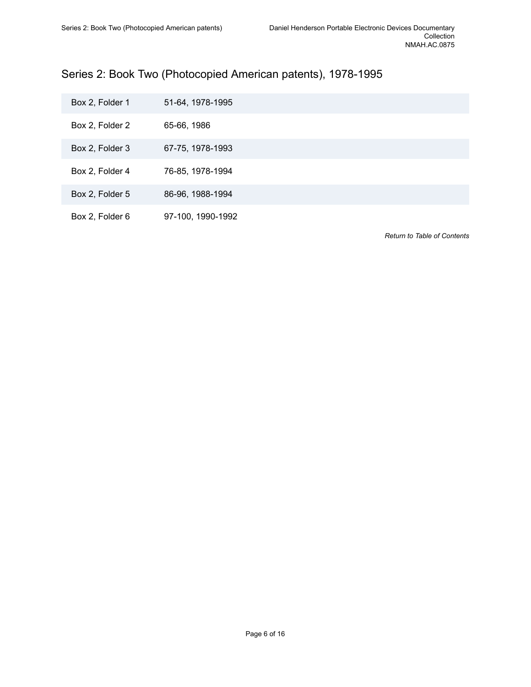# <span id="page-7-0"></span>Series 2: Book Two (Photocopied American patents), 1978-1995

| Box 2, Folder 1 | 51-64, 1978-1995  |
|-----------------|-------------------|
| Box 2, Folder 2 | 65-66, 1986       |
| Box 2, Folder 3 | 67-75, 1978-1993  |
| Box 2, Folder 4 | 76-85, 1978-1994  |
| Box 2, Folder 5 | 86-96, 1988-1994  |
| Box 2, Folder 6 | 97-100, 1990-1992 |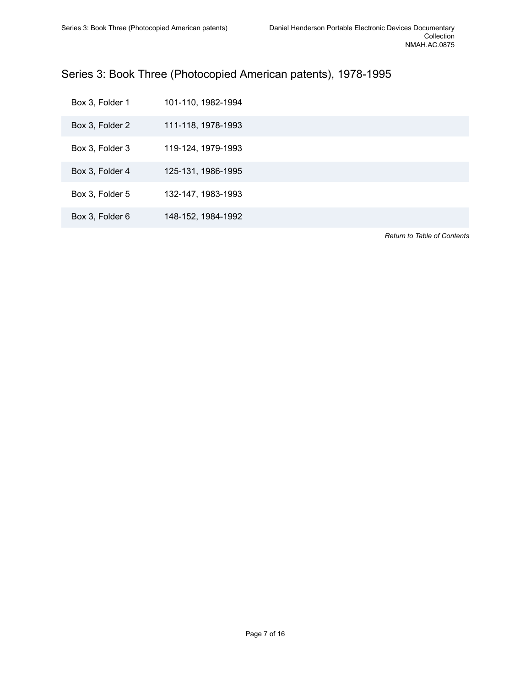# <span id="page-8-0"></span>Series 3: Book Three (Photocopied American patents), 1978-1995

| Box 3, Folder 1 | 101-110, 1982-1994 |
|-----------------|--------------------|
| Box 3, Folder 2 | 111-118, 1978-1993 |
| Box 3, Folder 3 | 119-124, 1979-1993 |
| Box 3, Folder 4 | 125-131, 1986-1995 |
| Box 3, Folder 5 | 132-147, 1983-1993 |
| Box 3, Folder 6 | 148-152, 1984-1992 |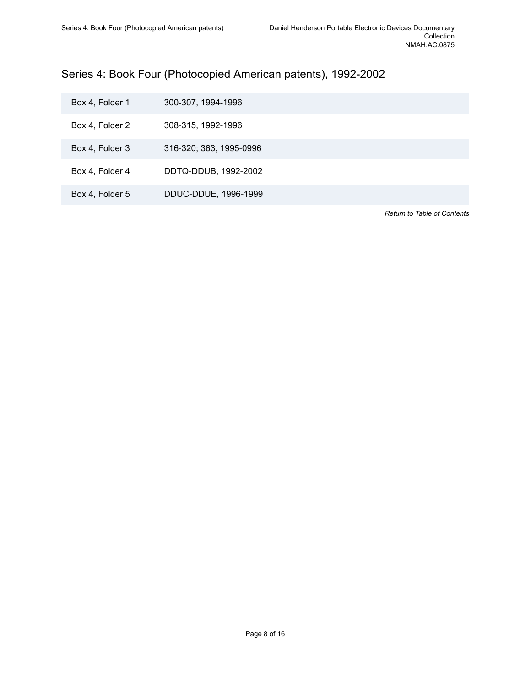# <span id="page-9-0"></span>Series 4: Book Four (Photocopied American patents), 1992-2002

| Box 4, Folder 1 | 300-307, 1994-1996      |
|-----------------|-------------------------|
| Box 4, Folder 2 | 308-315, 1992-1996      |
| Box 4, Folder 3 | 316-320; 363, 1995-0996 |
| Box 4, Folder 4 | DDTQ-DDUB, 1992-2002    |
| Box 4, Folder 5 | DDUC-DDUE, 1996-1999    |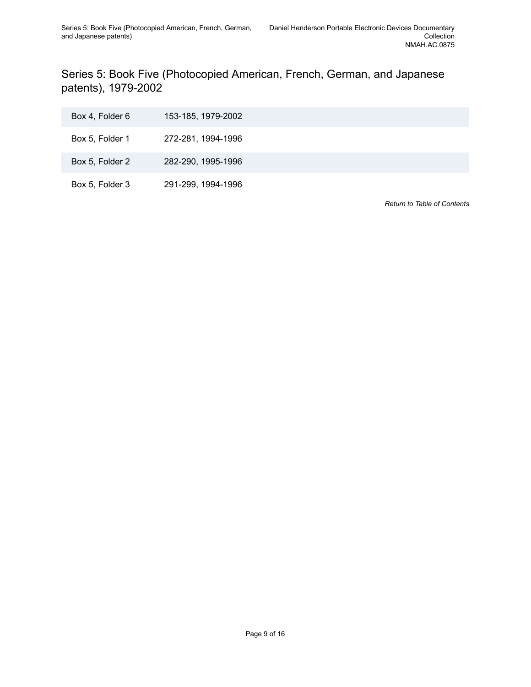<span id="page-10-0"></span>Series 5: Book Five (Photocopied American, French, German, and Japanese patents), 1979-2002

| Box 4, Folder 6 | 153-185, 1979-2002 |
|-----------------|--------------------|
| Box 5, Folder 1 | 272-281, 1994-1996 |
| Box 5, Folder 2 | 282-290, 1995-1996 |
| Box 5, Folder 3 | 291-299, 1994-1996 |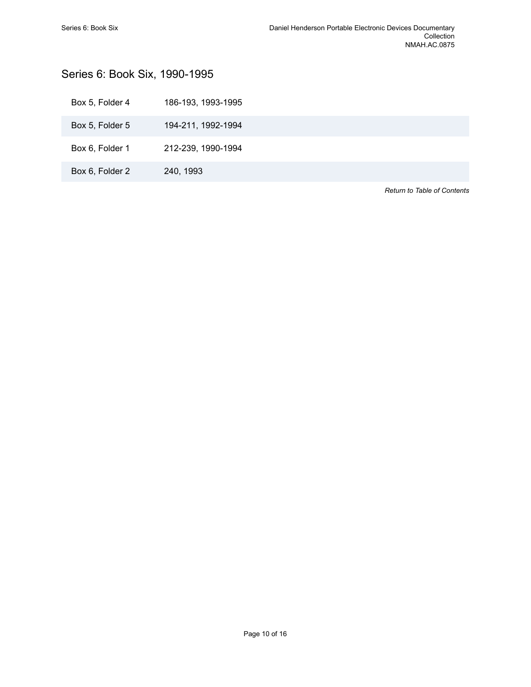# <span id="page-11-0"></span>Series 6: Book Six, 1990-1995

| Box 5, Folder 4 | 186-193, 1993-1995 |
|-----------------|--------------------|
| Box 5, Folder 5 | 194-211, 1992-1994 |
| Box 6, Folder 1 | 212-239, 1990-1994 |
| Box 6, Folder 2 | 240, 1993          |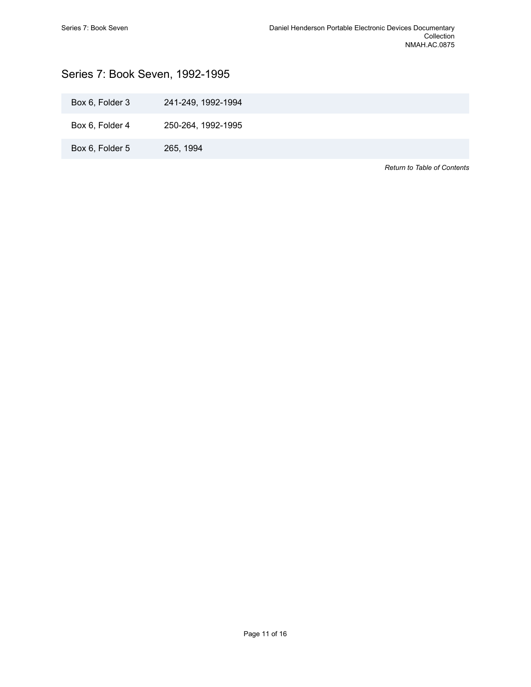# <span id="page-12-0"></span>Series 7: Book Seven, 1992-1995

| Box 6, Folder 3 | 241-249, 1992-1994 |
|-----------------|--------------------|
|                 |                    |

Box 6, Folder 4 250-264, 1992-1995

Box 6, Folder 5 265, 1994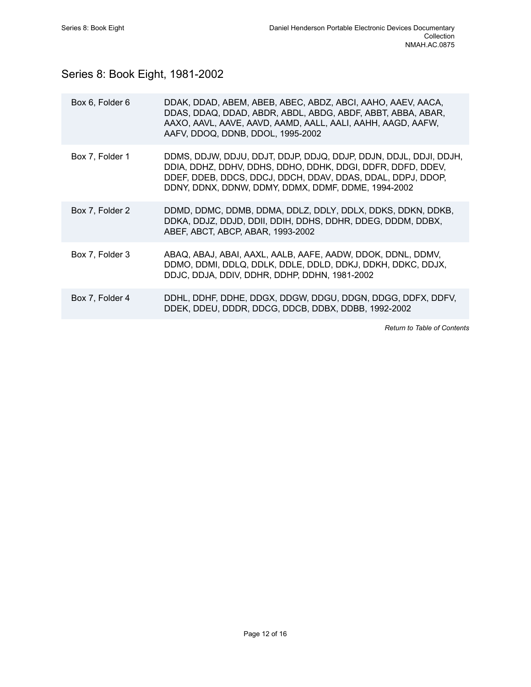# <span id="page-13-0"></span>Series 8: Book Eight, 1981-2002

| Box 6, Folder 6 | DDAK, DDAD, ABEM, ABEB, ABEC, ABDZ, ABCI, AAHO, AAEV, AACA,<br>DDAS, DDAQ, DDAD, ABDR, ABDL, ABDG, ABDF, ABBT, ABBA, ABAR,<br>AAXO, AAVL, AAVE, AAVD, AAMD, AALL, AALI, AAHH, AAGD, AAFW,<br>AAFV, DDOQ, DDNB, DDOL, 1995-2002                         |
|-----------------|--------------------------------------------------------------------------------------------------------------------------------------------------------------------------------------------------------------------------------------------------------|
| Box 7, Folder 1 | DDMS, DDJW, DDJU, DDJT, DDJP, DDJQ, DDJP, DDJN, DDJL, DDJI, DDJH,<br>DDIA, DDHZ, DDHV, DDHS, DDHO, DDHK, DDGI, DDFR, DDFD, DDEV,<br>DDEF, DDEB, DDCS, DDCJ, DDCH, DDAV, DDAS, DDAL, DDPJ, DDOP,<br>DDNY, DDNX, DDNW, DDMY, DDMX, DDMF, DDME, 1994-2002 |
| Box 7. Folder 2 | DDMD, DDMC, DDMB, DDMA, DDLZ, DDLY, DDLX, DDKS, DDKN, DDKB,<br>DDKA, DDJZ, DDJD, DDII, DDIH, DDHS, DDHR, DDEG, DDDM, DDBX,<br>ABEF, ABCT, ABCP, ABAR, 1993-2002                                                                                        |
| Box 7, Folder 3 | ABAQ, ABAJ, ABAI, AAXL, AALB, AAFE, AADW, DDOK, DDNL, DDMV,<br>DDMO, DDMI, DDLQ, DDLK, DDLE, DDLD, DDKJ, DDKH, DDKC, DDJX,<br>DDJC, DDJA, DDIV, DDHR, DDHP, DDHN, 1981-2002                                                                            |
| Box 7, Folder 4 | DDHL, DDHF, DDHE, DDGX, DDGW, DDGU, DDGN, DDGG, DDFX, DDFV,<br>DDEK, DDEU, DDDR, DDCG, DDCB, DDBX, DDBB, 1992-2002                                                                                                                                     |
|                 |                                                                                                                                                                                                                                                        |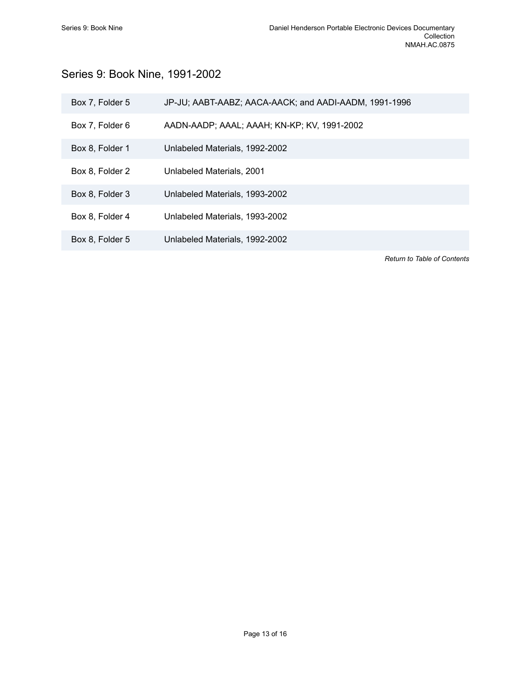# <span id="page-14-0"></span>Series 9: Book Nine, 1991-2002

| Box 7, Folder 5 | JP-JU; AABT-AABZ; AACA-AACK; and AADI-AADM, 1991-1996 |
|-----------------|-------------------------------------------------------|
| Box 7, Folder 6 | AADN-AADP; AAAL; AAAH; KN-KP; KV, 1991-2002           |
| Box 8, Folder 1 | Unlabeled Materials, 1992-2002                        |
| Box 8, Folder 2 | Unlabeled Materials, 2001                             |
| Box 8, Folder 3 | Unlabeled Materials, 1993-2002                        |
| Box 8, Folder 4 | Unlabeled Materials, 1993-2002                        |
| Box 8, Folder 5 | Unlabeled Materials, 1992-2002                        |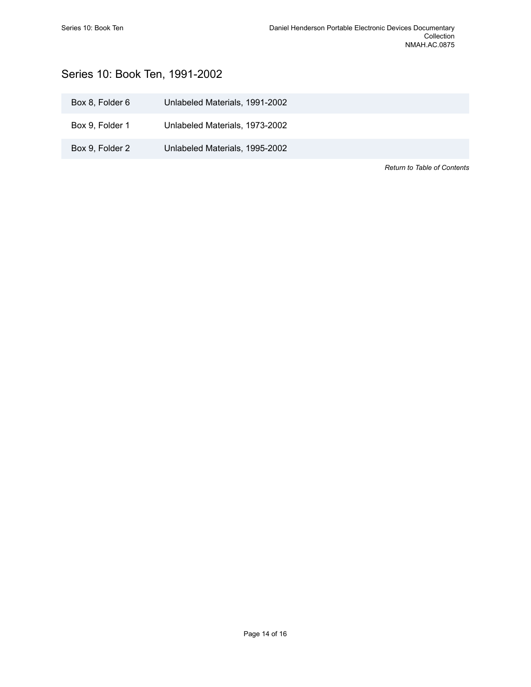# <span id="page-15-0"></span>Series 10: Book Ten, 1991-2002

| Box 8, Folder 6 | Unlabeled Materials, 1991-2002 |                             |
|-----------------|--------------------------------|-----------------------------|
| Box 9, Folder 1 | Unlabeled Materials, 1973-2002 |                             |
| Box 9, Folder 2 | Unlabeled Materials, 1995-2002 |                             |
|                 |                                | Return to Table of Contents |

Page 14 of 16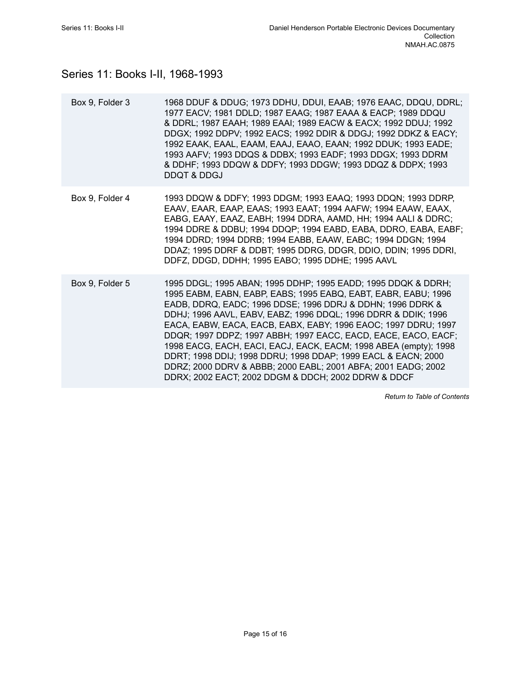# <span id="page-16-0"></span>Series 11: Books I-II, 1968-1993

| Box 9, Folder 3 | 1968 DDUF & DDUG; 1973 DDHU, DDUI, EAAB; 1976 EAAC, DDQU, DDRL;<br>1977 EACV; 1981 DDLD; 1987 EAAG; 1987 EAAA & EACP; 1989 DDQU<br>& DDRL; 1987 EAAH; 1989 EAAI; 1989 EACW & EACX; 1992 DDUJ; 1992<br>DDGX; 1992 DDPV; 1992 EACS; 1992 DDIR & DDGJ; 1992 DDKZ & EACY;<br>1992 EAAK, EAAL, EAAM, EAAJ, EAAO, EAAN; 1992 DDUK; 1993 EADE;<br>1993 AAFV; 1993 DDQS & DDBX; 1993 EADF; 1993 DDGX; 1993 DDRM<br>& DDHF; 1993 DDQW & DDFY; 1993 DDGW; 1993 DDQZ & DDPX; 1993<br><b>DDQT &amp; DDGJ</b>                                                                                                                                                                 |
|-----------------|------------------------------------------------------------------------------------------------------------------------------------------------------------------------------------------------------------------------------------------------------------------------------------------------------------------------------------------------------------------------------------------------------------------------------------------------------------------------------------------------------------------------------------------------------------------------------------------------------------------------------------------------------------------|
| Box 9, Folder 4 | 1993 DDQW & DDFY; 1993 DDGM; 1993 EAAQ; 1993 DDQN; 1993 DDRP,<br>EAAV, EAAR, EAAP, EAAS; 1993 EAAT; 1994 AAFW; 1994 EAAW, EAAX,<br>EABG, EAAY, EAAZ, EABH; 1994 DDRA, AAMD, HH; 1994 AALI & DDRC;<br>1994 DDRE & DDBU; 1994 DDQP; 1994 EABD, EABA, DDRO, EABA, EABF;<br>1994 DDRD; 1994 DDRB; 1994 EABB, EAAW, EABC; 1994 DDGN; 1994<br>DDAZ; 1995 DDRF & DDBT; 1995 DDRG, DDGR, DDIO, DDIN; 1995 DDRI,<br>DDFZ, DDGD, DDHH; 1995 EABO; 1995 DDHE; 1995 AAVL                                                                                                                                                                                                     |
| Box 9, Folder 5 | 1995 DDGL; 1995 ABAN; 1995 DDHP; 1995 EADD; 1995 DDQK & DDRH;<br>1995 EABM, EABN, EABP, EABS; 1995 EABQ, EABT, EABR, EABU; 1996<br>EADB, DDRQ, EADC; 1996 DDSE; 1996 DDRJ & DDHN; 1996 DDRK &<br>DDHJ; 1996 AAVL, EABV, EABZ; 1996 DDQL; 1996 DDRR & DDIK; 1996<br>EACA, EABW, EACA, EACB, EABX, EABY; 1996 EAOC; 1997 DDRU; 1997<br>DDQR; 1997 DDPZ; 1997 ABBH; 1997 EACC, EACD, EACE, EACO, EACF;<br>1998 EACG, EACH, EACI, EACJ, EACK, EACM; 1998 ABEA (empty); 1998<br>DDRT; 1998 DDIJ; 1998 DDRU; 1998 DDAP; 1999 EACL & EACN; 2000<br>DDRZ; 2000 DDRV & ABBB; 2000 EABL; 2001 ABFA; 2001 EADG; 2002<br>DDRX; 2002 EACT; 2002 DDGM & DDCH; 2002 DDRW & DDCF |